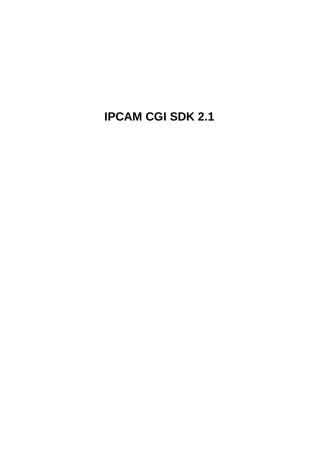<span id="page-0-0"></span>**IPCAM CGI SDK 2.1**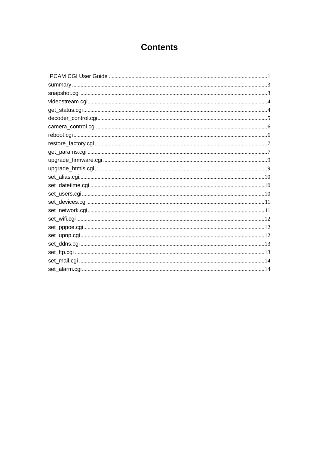#### **Contents**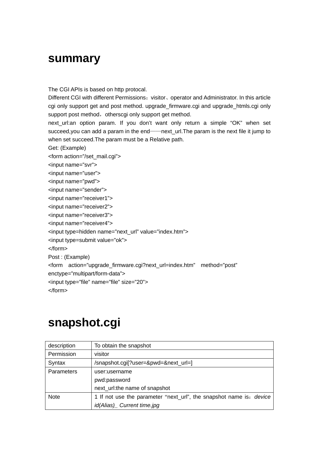#### <span id="page-2-0"></span>**summary**

The CGI APIs is based on http protocal.

Different CGI with different Permissions: visitor, operator and Administrator. In this article cgi only support get and post method. upgrade\_firmware.cgi and upgrade\_htmls.cgi only support post method, otherscgi only support get method.

next\_url:an option param. If you don't want only return a simple "OK" when set succeed, you can add a param in the end——next\_url. The param is the next file it jump to when set succeed.The param must be a Relative path.

Get: (Example)

<form action="/set\_mail.cgi">

<input name="svr"> <input name="user">

<input name="pwd">

<input name="sender">

<input name="receiver1">

<input name="receiver2">

<input name="receiver3">

<input name="receiver4">

<input type=hidden name="next\_url" value="index.htm">

<input type=submit value="ok">

</form>

Post : (Example)

<form action="upgrade\_firmware.cgi?next\_url=index.htm" method="post"

enctype="multipart/form-data">

<input type="file" name="file" size="20">

</form>

#### **snapshot.cgi**

| description       | To obtain the snapshot                                                     |  |
|-------------------|----------------------------------------------------------------------------|--|
| Permission        | visitor                                                                    |  |
| Syntax            | /snapshot.cgi[?user=&pwd=&next_url=]                                       |  |
| <b>Parameters</b> | user:username                                                              |  |
|                   | pwd:password                                                               |  |
|                   | next_url:the name of snapshot                                              |  |
| <b>Note</b>       | 1 If not use the parameter "next_url", the snapshot name is: <i>device</i> |  |
|                   | id(Alias) Current time.jpg                                                 |  |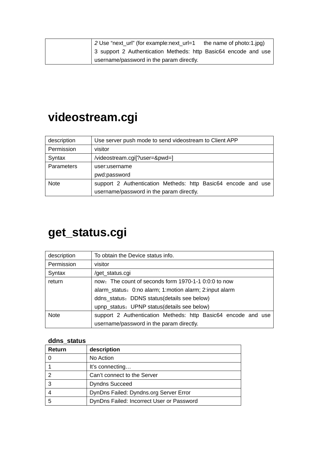<span id="page-3-0"></span>

|  | 2 Use "next_url" (for example:next_url=1 the name of photo:1.jpg) |
|--|-------------------------------------------------------------------|
|  | 3 support 2 Authentication Metheds: http Basic64 encode and use   |
|  | username/password in the param directly.                          |

## **videostream.cgi**

| description | Use server push mode to send videostream to Client APP        |  |
|-------------|---------------------------------------------------------------|--|
| Permission  | visitor                                                       |  |
| Syntax      | /videostream.cgi[?user=&pwd=]                                 |  |
| Parameters  | user:username                                                 |  |
|             | pwd:password                                                  |  |
| <b>Note</b> | support 2 Authentication Metheds: http Basic64 encode and use |  |
|             | username/password in the param directly.                      |  |

#### **get\_status.cgi**

| description | To obtain the Device status info.                             |  |
|-------------|---------------------------------------------------------------|--|
| Permission  | visitor                                                       |  |
| Syntax      | /get_status.cgi                                               |  |
| return      | now: The count of seconds form 1970-1-1 0:0:0 to now          |  |
|             | alarm_status: 0:no alarm; 1:motion alarm; 2:input alarm       |  |
|             | ddns_status: DDNS status(details see below)                   |  |
|             | upnp_status: UPNP status(details see below)                   |  |
| <b>Note</b> | support 2 Authentication Metheds: http Basic64 encode and use |  |
|             | username/password in the param directly.                      |  |

#### **ddns\_status**

| <b>Return</b> | description                               |
|---------------|-------------------------------------------|
|               | No Action                                 |
|               | It's connecting                           |
| 2             | Can't connect to the Server               |
| 3             | <b>Dyndns Succeed</b>                     |
|               | DynDns Failed: Dyndns.org Server Error    |
| 5             | DynDns Failed: Incorrect User or Password |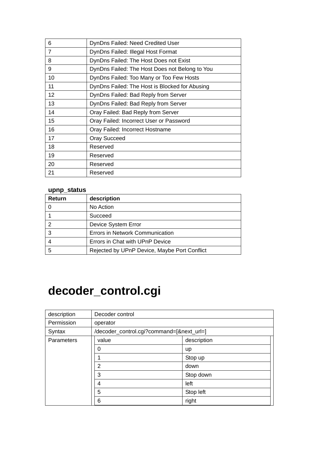<span id="page-4-0"></span>

| 6              | DynDns Failed: Need Credited User              |
|----------------|------------------------------------------------|
| $\overline{7}$ | DynDns Failed: Illegal Host Format             |
| 8              | DynDns Failed: The Host Does not Exist         |
| 9              | DynDns Failed: The Host Does not Belong to You |
| 10             | DynDns Failed: Too Many or Too Few Hosts       |
| 11             | DynDns Failed: The Host is Blocked for Abusing |
| 12             | DynDns Failed: Bad Reply from Server           |
| 13             | DynDns Failed: Bad Reply from Server           |
| 14             | Oray Failed: Bad Reply from Server             |
| 15             | Oray Failed: Incorrect User or Password        |
| 16             | Oray Failed: Incorrect Hostname                |
| 17             | <b>Oray Succeed</b>                            |
| 18             | Reserved                                       |
| 19             | Reserved                                       |
| 20             | Reserved                                       |
| 21             | Reserved                                       |

#### **upnp\_status**

| Return | description                                  |
|--------|----------------------------------------------|
|        | No Action                                    |
|        | Succeed                                      |
| ົ      | Device System Error                          |
| 3      | Errors in Network Communication              |
|        | Errors in Chat with UPnP Device              |
| 5      | Rejected by UPnP Device, Maybe Port Conflict |

# **decoder\_control.cgi**

| description | Decoder control                           |             |
|-------------|-------------------------------------------|-------------|
| Permission  | operator                                  |             |
| Syntax      | /decoder_control.cgi?command=[&next_url=] |             |
| Parameters  | value                                     | description |
|             | 0                                         | <b>up</b>   |
|             |                                           | Stop up     |
|             | 2                                         | down        |
|             | 3                                         | Stop down   |
|             | 4                                         | left        |
|             | 5                                         | Stop left   |
|             | 6                                         | right       |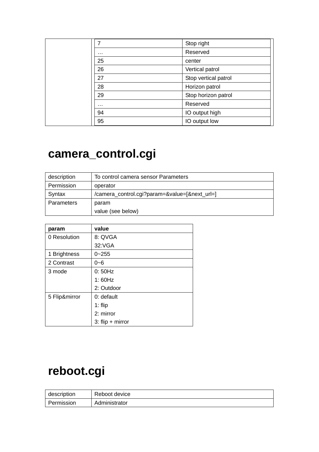<span id="page-5-0"></span>

|          | Stop right           |
|----------|----------------------|
| $\cdots$ | Reserved             |
| 25       | center               |
| 26       | Vertical patrol      |
| 27       | Stop vertical patrol |
| 28       | Horizon patrol       |
| 29       | Stop horizon patrol  |
| .        | Reserved             |
| 94       | IO output high       |
| 95       | IO output low        |

## **camera\_control.cgi**

| description       | To control camera sensor Parameters           |  |
|-------------------|-----------------------------------------------|--|
| Permission        | operator                                      |  |
| Syntax            | /camera_control.cgi?param=&value=[&next_url=] |  |
| <b>Parameters</b> | param                                         |  |
|                   | value (see below)                             |  |

| param         | value              |
|---------------|--------------------|
| 0 Resolution  | 8: QVGA            |
|               | 32:VGA             |
| 1 Brightness  | $0 - 255$          |
| 2 Contrast    | $0 - 6$            |
| 3 mode        | 0:50Hz             |
|               | 1:60Hz             |
|               | 2: Outdoor         |
| 5 Flip&mirror | 0: default         |
|               | $1:$ flip          |
|               | 2: mirror          |
|               | $3:$ flip + mirror |

# **reboot.cgi**

| description | Reboot device |
|-------------|---------------|
| Permission  | Administrator |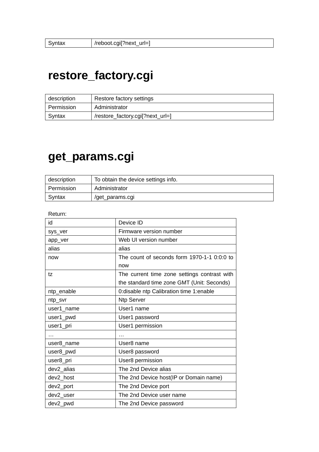#### <span id="page-6-0"></span>**restore\_factory.cgi**

| description | Restore factory settings         |
|-------------|----------------------------------|
| Permission  | Administrator                    |
| Syntax      | /restore_factory.cgil?next_url=] |

#### **get\_params.cgi**

| description | To obtain the device settings info. |
|-------------|-------------------------------------|
| Permission  | Administrator                       |
| Syntax      | /get_params.cgi                     |

Return:

| id         | Device ID                                    |
|------------|----------------------------------------------|
| sys_ver    | Firmware version number                      |
| app_ver    | Web UI version number                        |
| alias      | alias                                        |
| now        | The count of seconds form 1970-1-1 0:0:0 to  |
|            | now                                          |
| tz         | The current time zone settings contrast with |
|            | the standard time zone GMT (Unit: Seconds)   |
| ntp_enable | 0:disable ntp Calibration time 1:enable      |
| ntp_svr    | <b>Ntp Server</b>                            |
| user1_name | User1 name                                   |
| user1_pwd  | User1 password                               |
| user1_pri  | User1 permission                             |
| $\cdots$   | $\cdots$                                     |
| user8_name | User8 name                                   |
| user8_pwd  | User8 password                               |
| user8_pri  | User8 permission                             |
| dev2_alias | The 2nd Device alias                         |
| dev2_host  | The 2nd Device host(IP or Domain name)       |
| dev2_port  | The 2nd Device port                          |
| dev2_user  | The 2nd Device user name                     |
| dev2_pwd   | The 2nd Device password                      |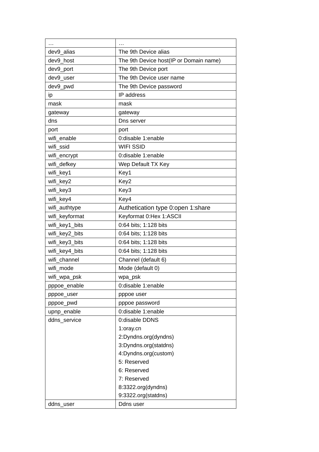| dev9_alias     | The 9th Device alias                   |
|----------------|----------------------------------------|
| dev9 host      | The 9th Device host(IP or Domain name) |
| dev9_port      | The 9th Device port                    |
| dev9 user      | The 9th Device user name               |
| dev9_pwd       | The 9th Device password                |
| ip             | IP address                             |
| mask           | mask                                   |
| gateway        | gateway                                |
| dns            | Dns server                             |
| port           | port                                   |
| wifi_enable    | 0:disable 1:enable                     |
| wifi ssid      | <b>WIFI SSID</b>                       |
| wifi_encrypt   | 0:disable 1:enable                     |
| wifi_defkey    | Wep Default TX Key                     |
| wifi_key1      | Key1                                   |
| wifi_key2      | Key2                                   |
| wifi_key3      | Key3                                   |
| wifi_key4      | Key4                                   |
| wifi_authtype  | Authetication type 0:open 1:share      |
| wifi_keyformat | Keyformat 0:Hex 1:ASCII                |
| wifi_key1_bits | 0:64 bits; 1:128 bits                  |
| wifi_key2_bits | 0:64 bits; 1:128 bits                  |
| wifi_key3_bits | 0:64 bits; 1:128 bits                  |
| wifi_key4_bits | 0:64 bits; 1:128 bits                  |
| wifi channel   | Channel (default 6)                    |
| wifi mode      | Mode (default 0)                       |
| wifi_wpa_psk   | wpa_psk                                |
| pppoe_enable   | 0:disable 1:enable                     |
| pppoe_user     | pppoe user                             |
| pppoe_pwd      | pppoe password                         |
| upnp_enable    | 0:disable 1:enable                     |
| ddns service   | 0:disable DDNS                         |
|                | 1:oray.cn                              |
|                | 2:Dyndns.org(dyndns)                   |
|                | 3:Dyndns.org(statdns)                  |
|                | 4:Dyndns.org(custom)                   |
|                | 5: Reserved                            |
|                | 6: Reserved                            |
|                | 7: Reserved                            |
|                | 8:3322.org(dyndns)                     |
|                | 9:3322.org(statdns)                    |
| ddns_user      | Ddns user                              |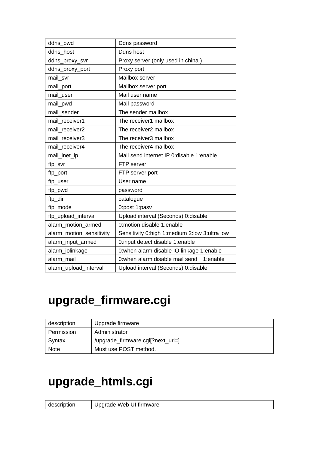<span id="page-8-0"></span>

| ddns_pwd                 | Ddns password                                 |
|--------------------------|-----------------------------------------------|
| ddns host                | Ddns host                                     |
| ddns_proxy_svr           | Proxy server (only used in china)             |
| ddns_proxy_port          | Proxy port                                    |
| mail svr                 | Mailbox server                                |
| mail_port                | Mailbox server port                           |
| mail user                | Mail user name                                |
| mail_pwd                 | Mail password                                 |
| mail sender              | The sender mailbox                            |
| mail receiver1           | The receiver1 mailbox                         |
| mail receiver2           | The receiver <sub>2</sub> mailbox             |
| mail receiver3           | The receiver3 mailbox                         |
| mail receiver4           | The receiver4 mailbox                         |
| mail_inet_ip             | Mail send internet IP 0:disable 1:enable      |
| ftp_svr                  | FTP server                                    |
| ftp_port                 | FTP server port                               |
| ftp_user                 | User name                                     |
| ftp_pwd                  | password                                      |
| ftp_dir                  | catalogue                                     |
| ftp_mode                 | 0:post 1:pasv                                 |
| ftp_upload_interval      | Upload interval (Seconds) 0:disable           |
| alarm_motion_armed       | 0:motion disable 1:enable                     |
| alarm_motion_sensitivity | Sensitivity 0:high 1:medium 2:low 3:ultra low |
| alarm_input_armed        | 0:input detect disable 1:enable               |
| alarm_iolinkage          | 0:when alarm disable IO linkage 1:enable      |
| alarm mail               | 0: when alarm disable mail send<br>1:enable   |
| alarm_upload_interval    | Upload interval (Seconds) 0:disable           |

# **upgrade\_firmware.cgi**

| description | Upgrade firmware                  |
|-------------|-----------------------------------|
| Permission  | Administrator                     |
| Syntax      | /upgrade_firmware.cgi[?next_url=] |
| Note        | Must use POST method.             |

# **upgrade\_htmls.cgi**

| description | Upgrade Web UI firmware |
|-------------|-------------------------|
|             |                         |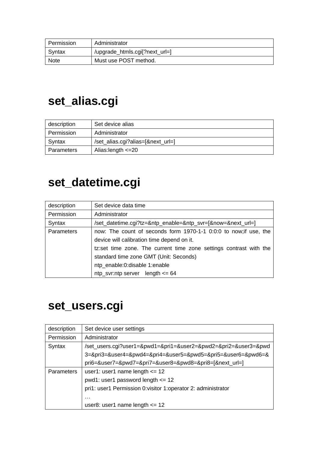<span id="page-9-0"></span>

| Permission  | Administrator                  |
|-------------|--------------------------------|
| Syntax      | /upgrade_htmls.cgi[?next_url=] |
| <b>Note</b> | Must use POST method.          |

## **set\_alias.cgi**

| description | Set device alias                  |
|-------------|-----------------------------------|
| Permission  | Administrator                     |
| Syntax      | /set_alias.cgi?alias=[&next_url=] |
| Parameters  | Alias: length $\leq$ 20           |

## **set\_datetime.cgi**

| description       | Set device data time                                               |
|-------------------|--------------------------------------------------------------------|
| Permission        | Administrator                                                      |
| Syntax            | /set_datetime.cgi?tz=&ntp_enable=&ntp_svr=[&now=&next_url=]        |
| <b>Parameters</b> | now: The count of seconds form 1970-1-1 0:0:0 to now; if use, the  |
|                   | device will calibration time depend on it.                         |
|                   | tz:set time zone. The current time zone settings contrast with the |
|                   | standard time zone GMT (Unit: Seconds)                             |
|                   | ntp_enable:0:disable 1:enable                                      |
|                   | $ntp$ _svr:ntp server length $\leq 64$                             |

#### **set\_users.cgi**

| description | Set device user settings                                        |
|-------------|-----------------------------------------------------------------|
| Permission  | Administrator                                                   |
| Syntax      | /set_users.cgi?user1=&pwd1=&pri1=&user2=&pwd2=&pri2=&user3=&pwd |
|             | 3=&pri3=&user4=&pwd4=&pri4=&user5=&pwd5=&pri5=&user6=&pwd6=&    |
|             | pri6=&user7=&pwd7=&pri7=&user8=&pwd8=&pri8=[&next_url=]         |
| Parameters  | user1: user1 name length $\leq$ 12                              |
|             | pwd1: user1 password length $\leq$ 12                           |
|             | pri1: user1 Permission 0: visitor 1: operator 2: administrator  |
|             | $\cdots$                                                        |
|             | user8: user1 name length $\leq$ 12                              |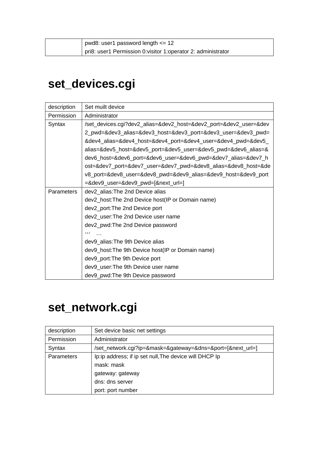<span id="page-10-0"></span>

|  | pwd8: user1 password length $\leq 12$                          |
|--|----------------------------------------------------------------|
|  | pri8: user1 Permission 0: visitor 1: operator 2: administrator |

# **set\_devices.cgi**

| description       | Set muilt device                                                  |
|-------------------|-------------------------------------------------------------------|
| Permission        | Administrator                                                     |
| Syntax            | /set_devices.cgi?dev2_alias=&dev2_host=&dev2_port=&dev2_user=&dev |
|                   | 2_pwd=&dev3_alias=&dev3_host=&dev3_port=&dev3_user=&dev3_pwd=     |
|                   | &dev4_alias=&dev4_host=&dev4_port=&dev4_user=&dev4_pwd=&dev5_     |
|                   | alias=&dev5_host=&dev5_port=&dev5_user=&dev5_pwd=&dev6_alias=&    |
|                   | dev6_host=&dev6_port=&dev6_user=&dev6_pwd=&dev7_alias=&dev7_h     |
|                   | ost=&dev7_port=&dev7_user=&dev7_pwd=&dev8_alias=&dev8_host=&de    |
|                   | v8_port=&dev8_user=&dev8_pwd=&dev9_alias=&dev9_host=&dev9_port    |
|                   | $=$ &dev9_user=&dev9_pwd=[&next_url=]                             |
| <b>Parameters</b> | dev2_alias: The 2nd Device alias                                  |
|                   | dev2_host: The 2nd Device host (IP or Domain name)                |
|                   | dev2_port: The 2nd Device port                                    |
|                   | dev2_user: The 2nd Device user name                               |
|                   | dev2_pwd:The 2nd Device password                                  |
|                   |                                                                   |
|                   | dev9_alias: The 9th Device alias                                  |
|                   | dev9_host: The 9th Device host (IP or Domain name)                |
|                   | dev9_port: The 9th Device port                                    |
|                   | dev9_user: The 9th Device user name                               |
|                   | dev9_pwd:The 9th Device password                                  |

## **set\_network.cgi**

| description | Set device basic net settings                              |
|-------------|------------------------------------------------------------|
| Permission  | Administrator                                              |
| Syntax      | /set_network.cgi?ip=&mask=&gateway=&dns=&port=[&next_url=] |
| Parameters  | Ip: ip address; if ip set null, The device will DHCP Ip    |
|             | mask: mask                                                 |
|             | gateway: gateway                                           |
|             | dns: dns server                                            |
|             | port: port number                                          |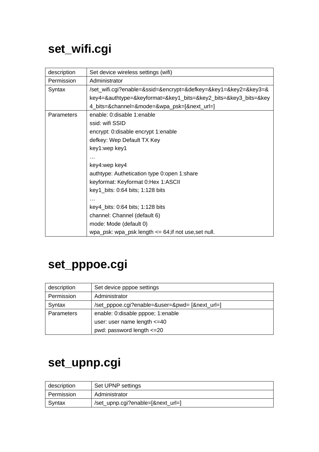# <span id="page-11-0"></span>**set\_wifi.cgi**

| description | Set device wireless settings (wifi)                             |
|-------------|-----------------------------------------------------------------|
| Permission  | Administrator                                                   |
| Syntax      | /set_wifi.cgi?enable=&ssid=&encrypt=&defkey=&key1=&key2=&key3=& |
|             | key4=&authtype=&keyformat=&key1_bits=&key2_bits=&key3_bits=&key |
|             | 4_bits=&channel=&mode=&wpa_psk=[&next_url=]                     |
| Parameters  | enable: 0:disable 1:enable                                      |
|             | ssid: wifi SSID                                                 |
|             | encrypt: 0:disable encrypt 1:enable                             |
|             | defkey: Wep Default TX Key                                      |
|             | key1:wep key1                                                   |
|             |                                                                 |
|             | key4:wep key4                                                   |
|             | authtype: Authetication type 0:open 1:share                     |
|             | keyformat: Keyformat 0:Hex 1:ASCII                              |
|             | key1_bits: 0:64 bits; 1:128 bits                                |
|             |                                                                 |
|             | key4_bits: 0:64 bits; 1:128 bits                                |
|             | channel: Channel (default 6)                                    |
|             | mode: Mode (default 0)                                          |
|             | wpa_psk: wpa_psk length <= 64;if not use,set null.              |

# **set\_pppoe.cgi**

| description | Set device pppoe settings                      |
|-------------|------------------------------------------------|
| Permission  | Administrator                                  |
| Syntax      | /set_pppoe.cgi?enable=&user=&pwd= [&next_url=] |
| Parameters  | enable: 0:disable pppoe; 1:enable              |
|             | user: user name length $\leq$ =40              |
|             | pwd: password length <= 20                     |

#### **set\_upnp.cgi**

| description | Set UPNP settings                 |
|-------------|-----------------------------------|
| Permission  | Administrator                     |
| Syntax      | /set_upnp.cgi?enable=[&next_url=] |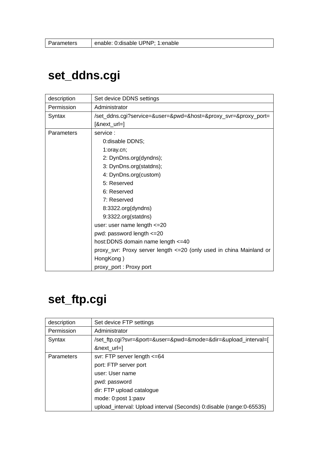#### <span id="page-12-0"></span>**set\_ddns.cgi**

| description | Set device DDNS settings                                             |
|-------------|----------------------------------------------------------------------|
| Permission  | Administrator                                                        |
| Syntax      | /set_ddns.cgi?service=&user=&pwd=&host=&proxy_svr=&proxy_port=       |
|             | [&next_url=]                                                         |
| Parameters  | service:                                                             |
|             | 0: disable DDNS;                                                     |
|             | 1:oray.cn;                                                           |
|             | 2: DynDns.org(dyndns);                                               |
|             | 3: DynDns.org(statdns);                                              |
|             | 4: DynDns.org(custom)                                                |
|             | 5: Reserved                                                          |
|             | 6: Reserved                                                          |
|             | 7: Reserved                                                          |
|             | 8:3322.org(dyndns)                                                   |
|             | 9:3322.org(statdns)                                                  |
|             | user: user name length <= 20                                         |
|             | pwd: password length <= 20                                           |
|             | host:DDNS domain name length <= 40                                   |
|             | proxy_svr: Proxy server length <= 20 (only used in china Mainland or |
|             | HongKong)                                                            |
|             | proxy_port: Proxy port                                               |

#### **set\_ftp.cgi**

| description | Set device FTP settings                                              |
|-------------|----------------------------------------------------------------------|
| Permission  | Administrator                                                        |
| Syntax      | /set_ftp.cgi?svr=&port=&user=&pwd=&mode=&dir=&upload_interval=[      |
|             | &next_url=]                                                          |
| Parameters  | svr: FTP server length <= 64                                         |
|             | port: FTP server port                                                |
|             | user: User name                                                      |
|             | pwd: password                                                        |
|             | dir: FTP upload catalogue                                            |
|             | mode: 0:post 1:pasv                                                  |
|             | upload_interval: Upload interval (Seconds) 0:disable (range:0-65535) |